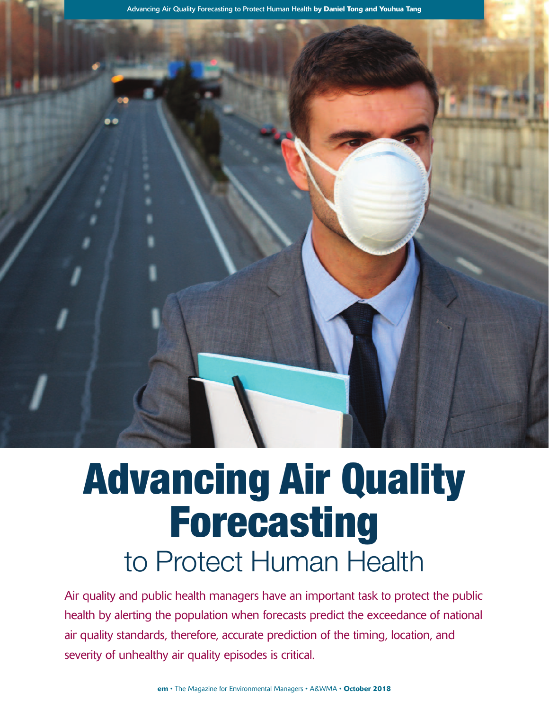Advancing Air Quality Forecasting to Protect Human Health **by Daniel Tong and Youhua Tang**

# Advancing Air Quality Forecasting to Protect Human Health

Air quality and public health managers have an important task to protect the public health by alerting the population when forecasts predict the exceedance of national air quality standards, therefore, accurate prediction of the timing, location, and severity of unhealthy air quality episodes is critical.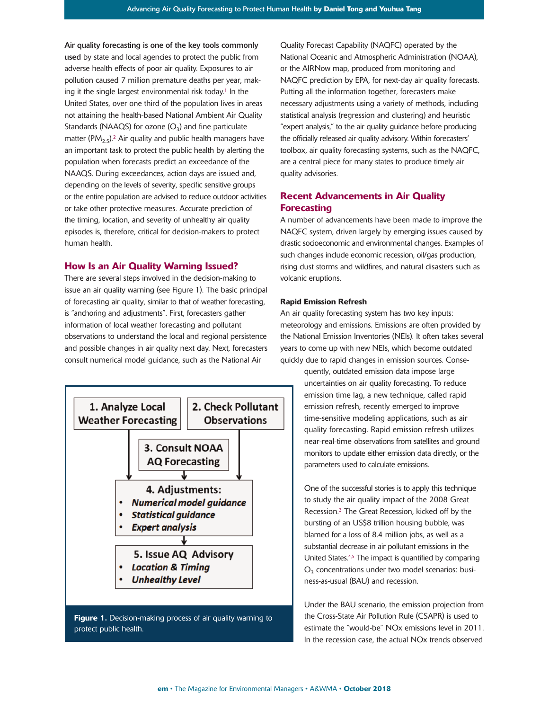Air quality forecasting is one of the key tools commonly used by state and local agencies to protect the public from adverse health effects of poor air quality. Exposures to air pollution caused 7 million premature deaths per year, making it the single largest environmental risk today. <sup>1</sup> In the United States, over one third of the population lives in areas not attaining the health-based National Ambient Air Quality Standards (NAAQS) for ozone  $(O_3)$  and fine particulate matter (PM $_{2.5}$ ).<sup>2</sup> Air quality and public health managers have an important task to protect the public health by alerting the population when forecasts predict an exceedance of the NAAQS. During exceedances, action days are issued and, depending on the levels of severity, specific sensitive groups or the entire population are advised to reduce outdoor activities or take other protective measures. Accurate prediction of the timing, location, and severity of unhealthy air quality episodes is, therefore, critical for decision-makers to protect human health.

### **How Is an Air Quality Warning Issued?**

There are several steps involved in the decision-making to issue an air quality warning (see Figure 1). The basic principal of forecasting air quality, similar to that of weather forecasting, is "anchoring and adjustments". First, forecasters gather information of local weather forecasting and pollutant observations to understand the local and regional persistence and possible changes in air quality next day. Next, forecasters consult numerical model guidance, such as the National Air



Quality Forecast Capability (NAQFC) operated by the National Oceanic and Atmospheric Administration (NOAA), or the AIRNow map, produced from monitoring and NAQFC prediction by EPA, for next-day air quality forecasts. Putting all the information together, forecasters make necessary adjustments using a variety of methods, including statistical analysis (regression and clustering) and heuristic "expert analysis," to the air quality guidance before producing the officially released air quality advisory. Within forecasters' toolbox, air quality forecasting systems, such as the NAQFC, are a central piece for many states to produce timely air quality advisories.

# **Recent Advancements in Air Quality Forecasting**

A number of advancements have been made to improve the NAQFC system, driven largely by emerging issues caused by drastic socioeconomic and environmental changes. Examples of such changes include economic recession, oil/gas production, rising dust storms and wildfires, and natural disasters such as volcanic eruptions.

## **Rapid Emission Refresh**

An air quality forecasting system has two key inputs: meteorology and emissions. Emissions are often provided by the National Emission Inventories (NEIs). It often takes several years to come up with new NEIs, which become outdated quickly due to rapid changes in emission sources. Conse-

> quently, outdated emission data impose large uncertainties on air quality forecasting. To reduce emission time lag, a new technique, called rapid emission refresh, recently emerged to improve time-sensitive modeling applications, such as air quality forecasting. Rapid emission refresh utilizes near-real-time observations from satellites and ground monitors to update either emission data directly, or the parameters used to calculate emissions.

> One of the successful stories is to apply this technique to study the air quality impact of the 2008 Great Recession. <sup>3</sup> The Great Recession, kicked off by the bursting of an US\$8 trillion housing bubble, was blamed for a loss of 8.4 million jobs, as well as a substantial decrease in air pollutant emissions in the United States.<sup>4,5</sup> The impact is quantified by comparing  $O<sub>3</sub>$  concentrations under two model scenarios: business-as-usual (BAU) and recession.

Under the BAU scenario, the emission projection from the Cross-State Air Pollution Rule (CSAPR) is used to estimate the "would-be" NOx emissions level in 2011. In the recession case, the actual NOx trends observed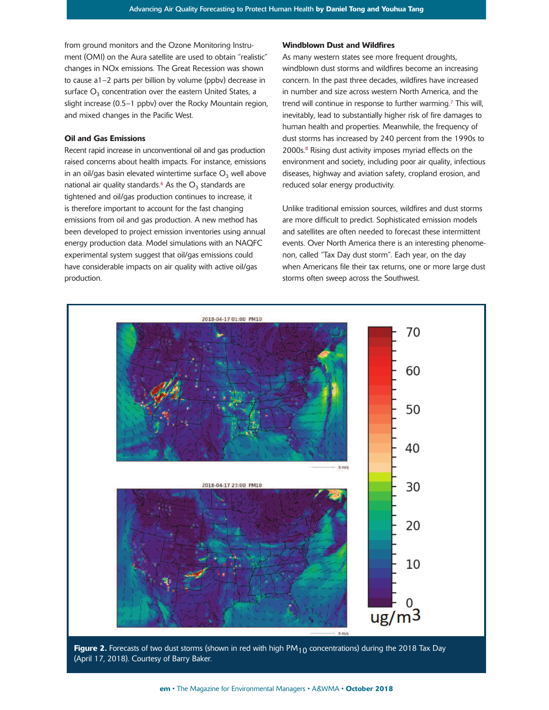from ground monitors and the Ozone Monitoring Instrument (OMI) on the Aura satellite are used to obtain "realistic" changes in NOx emissions. The Great Recession was shown to cause a1–2 parts per billion by volume (ppbv) decrease in surface  $O<sub>3</sub>$  concentration over the eastern United States, a slight increase (0.5–1 ppbv) over the Rocky Mountain region, and mixed changes in the Pacific West.

#### **Oil and Gas Emissions**

Recent rapid increase in unconventional oil and gas production raised concerns about health impacts. For instance, emissions in an oil/gas basin elevated wintertime surface  $O_3$  well above national air quality standards.<sup>6</sup> As the  $O_3$  standards are tightened and oil/gas production continues to increase, it is therefore important to account for the fast changing emissions from oil and gas production. A new method has been developed to project emission inventories using annual energy production data. Model simulations with an NAQFC experimental system suggest that oil/gas emissions could have considerable impacts on air quality with active oil/gas production.

#### **Windblown Dust and Wildfires**

As many western states see more frequent droughts, windblown dust storms and wildfires become an increasing concern. In the past three decades, wildfires have increased in number and size across western North America, and the trend will continue in response to further warming. <sup>7</sup> This will, inevitably, lead to substantially higher risk of fire damages to human health and properties. Meanwhile, the frequency of dust storms has increased by 240 percent from the 1990s to 2000s. <sup>8</sup> Rising dust activity imposes myriad effects on the environment and society, including poor air quality, infectious diseases, highway and aviation safety, cropland erosion, and reduced solar energy productivity.

Unlike traditional emission sources, wildfires and dust storms are more difficult to predict. Sophisticated emission models and satellites are often needed to forecast these intermittent events. Over North America there is an interesting phenomenon, called "Tax Day dust storm". Each year, on the day when Americans file their tax returns, one or more large dust storms often sweep across the Southwest.



**Figure 2.** Forecasts of two dust storms (shown in red with high PM<sub>10</sub> concentrations) during the 2018 Tax Day (April 17, 2018). Courtesy of Barry Baker.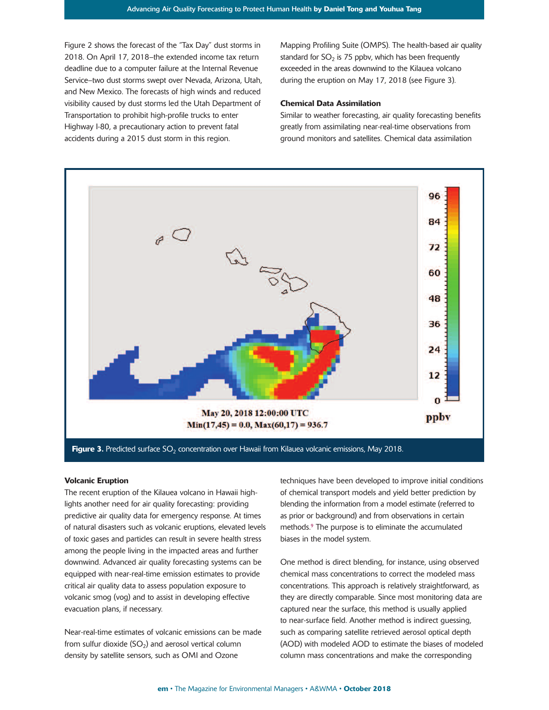Figure 2 shows the forecast of the "Tax Day" dust storms in 2018. On April 17, 2018–the extended income tax return deadline due to a computer failure at the Internal Revenue Service–two dust storms swept over Nevada, Arizona, Utah, and New Mexico. The forecasts of high winds and reduced visibility caused by dust storms led the Utah Department of Transportation to prohibit high-profile trucks to enter Highway I-80, a precautionary action to prevent fatal accidents during a 2015 dust storm in this region.

Mapping Profiling Suite (OMPS). The health-based air quality standard for  $SO<sub>2</sub>$  is 75 ppbv, which has been frequently exceeded in the areas downwind to the Kilauea volcano during the eruption on May 17, 2018 (see Figure 3).

#### **Chemical Data Assimilation**

Similar to weather forecasting, air quality forecasting benefits greatly from assimilating near-real-time observations from ground monitors and satellites. Chemical data assimilation

![](_page_3_Figure_5.jpeg)

#### **Volcanic Eruption**

The recent eruption of the Kilauea volcano in Hawaii highlights another need for air quality forecasting: providing predictive air quality data for emergency response. At times of natural disasters such as volcanic eruptions, elevated levels of toxic gases and particles can result in severe health stress among the people living in the impacted areas and further downwind. Advanced air quality forecasting systems can be equipped with near-real-time emission estimates to provide critical air quality data to assess population exposure to volcanic smog (vog) and to assist in developing effective evacuation plans, if necessary.

Near-real-time estimates of volcanic emissions can be made from sulfur dioxide  $(SO<sub>2</sub>)$  and aerosol vertical column density by satellite sensors, such as OMI and Ozone

techniques have been developed to improve initial conditions of chemical transport models and yield better prediction by blending the information from a model estimate (referred to as prior or background) and from observations in certain methods. <sup>9</sup> The purpose is to eliminate the accumulated biases in the model system.

One method is direct blending, for instance, using observed chemical mass concentrations to correct the modeled mass concentrations. This approach is relatively straightforward, as they are directly comparable. Since most monitoring data are captured near the surface, this method is usually applied to near-surface field. Another method is indirect guessing, such as comparing satellite retrieved aerosol optical depth (AOD) with modeled AOD to estimate the biases of modeled column mass concentrations and make the corresponding